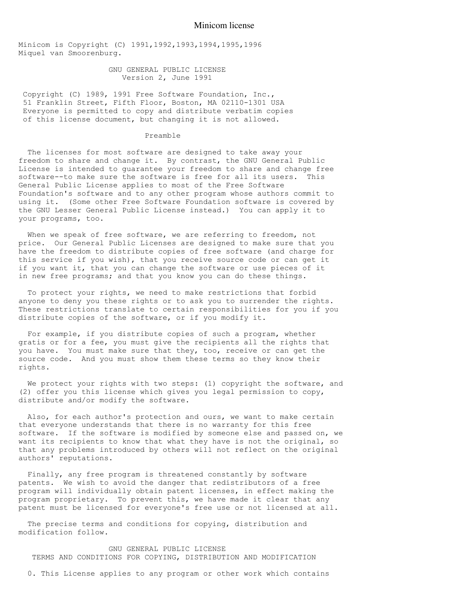## Minicom license

Minicom is Copyright (C) 1991,1992,1993,1994,1995,1996 Miquel van Smoorenburg.

> GNU GENERAL PUBLIC LICENSE Version 2, June 1991

Copyright (C) 1989, 1991 Free Software Foundation, Inc., 51 Franklin Street, Fifth Floor, Boston, MA 02110-1301 USA Everyone is permitted to copy and distribute verbatim copies of this license document, but changing it is not allowed.

## Preamble

 The licenses for most software are designed to take away your freedom to share and change it. By contrast, the GNU General Public License is intended to guarantee your freedom to share and change free software--to make sure the software is free for all its users. This General Public License applies to most of the Free Software Foundation's software and to any other program whose authors commit to using it. (Some other Free Software Foundation software is covered by the GNU Lesser General Public License instead.) You can apply it to your programs, too.

 When we speak of free software, we are referring to freedom, not price. Our General Public Licenses are designed to make sure that you have the freedom to distribute copies of free software (and charge for this service if you wish), that you receive source code or can get it if you want it, that you can change the software or use pieces of it in new free programs; and that you know you can do these things.

 To protect your rights, we need to make restrictions that forbid anyone to deny you these rights or to ask you to surrender the rights. These restrictions translate to certain responsibilities for you if you distribute copies of the software, or if you modify it.

 For example, if you distribute copies of such a program, whether gratis or for a fee, you must give the recipients all the rights that you have. You must make sure that they, too, receive or can get the source code. And you must show them these terms so they know their rights.

We protect your rights with two steps: (1) copyright the software, and (2) offer you this license which gives you legal permission to copy, distribute and/or modify the software.

 Also, for each author's protection and ours, we want to make certain that everyone understands that there is no warranty for this free software. If the software is modified by someone else and passed on, we want its recipients to know that what they have is not the original, so that any problems introduced by others will not reflect on the original authors' reputations.

 Finally, any free program is threatened constantly by software patents. We wish to avoid the danger that redistributors of a free program will individually obtain patent licenses, in effect making the program proprietary. To prevent this, we have made it clear that any patent must be licensed for everyone's free use or not licensed at all.

The precise terms and conditions for copying, distribution and modification follow.

 GNU GENERAL PUBLIC LICENSE TERMS AND CONDITIONS FOR COPYING, DISTRIBUTION AND MODIFICATION

0. This License applies to any program or other work which contains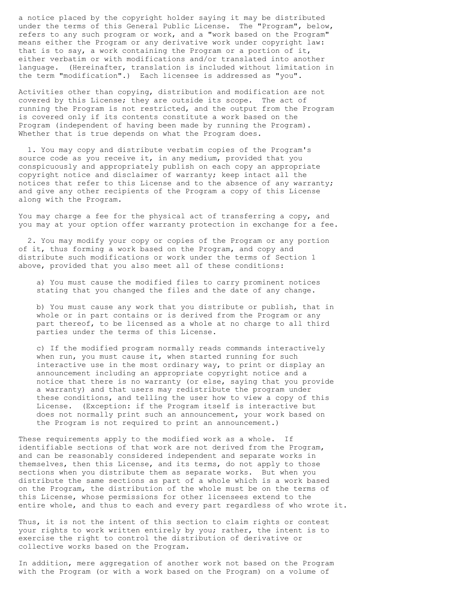a notice placed by the copyright holder saying it may be distributed under the terms of this General Public License. The "Program", below, refers to any such program or work, and a "work based on the Program" means either the Program or any derivative work under copyright law: that is to say, a work containing the Program or a portion of it, either verbatim or with modifications and/or translated into another language. (Hereinafter, translation is included without limitation in the term "modification".) Each licensee is addressed as "you".

Activities other than copying, distribution and modification are not covered by this License; they are outside its scope. The act of running the Program is not restricted, and the output from the Program is covered only if its contents constitute a work based on the Program (independent of having been made by running the Program). Whether that is true depends on what the Program does.

 1. You may copy and distribute verbatim copies of the Program's source code as you receive it, in any medium, provided that you conspicuously and appropriately publish on each copy an appropriate copyright notice and disclaimer of warranty; keep intact all the notices that refer to this License and to the absence of any warranty; and give any other recipients of the Program a copy of this License along with the Program.

You may charge a fee for the physical act of transferring a copy, and you may at your option offer warranty protection in exchange for a fee.

 2. You may modify your copy or copies of the Program or any portion of it, thus forming a work based on the Program, and copy and distribute such modifications or work under the terms of Section 1 above, provided that you also meet all of these conditions:

 a) You must cause the modified files to carry prominent notices stating that you changed the files and the date of any change.

 b) You must cause any work that you distribute or publish, that in whole or in part contains or is derived from the Program or any part thereof, to be licensed as a whole at no charge to all third parties under the terms of this License.

 c) If the modified program normally reads commands interactively when run, you must cause it, when started running for such interactive use in the most ordinary way, to print or display an announcement including an appropriate copyright notice and a notice that there is no warranty (or else, saying that you provide a warranty) and that users may redistribute the program under these conditions, and telling the user how to view a copy of this License. (Exception: if the Program itself is interactive but does not normally print such an announcement, your work based on the Program is not required to print an announcement.)

These requirements apply to the modified work as a whole. If identifiable sections of that work are not derived from the Program, and can be reasonably considered independent and separate works in themselves, then this License, and its terms, do not apply to those sections when you distribute them as separate works. But when you distribute the same sections as part of a whole which is a work based on the Program, the distribution of the whole must be on the terms of this License, whose permissions for other licensees extend to the entire whole, and thus to each and every part regardless of who wrote it.

Thus, it is not the intent of this section to claim rights or contest your rights to work written entirely by you; rather, the intent is to exercise the right to control the distribution of derivative or collective works based on the Program.

In addition, mere aggregation of another work not based on the Program with the Program (or with a work based on the Program) on a volume of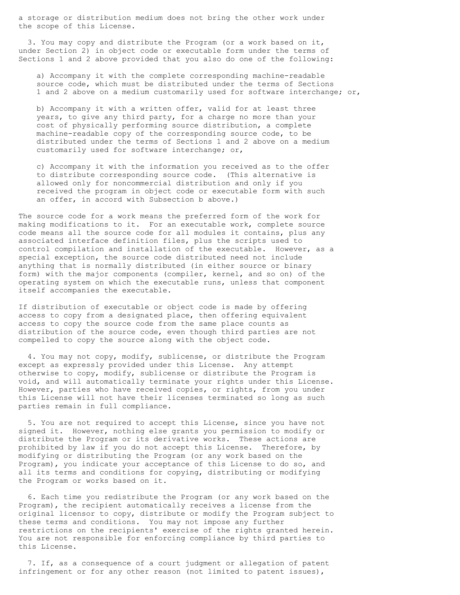a storage or distribution medium does not bring the other work under the scope of this License.

 3. You may copy and distribute the Program (or a work based on it, under Section 2) in object code or executable form under the terms of Sections 1 and 2 above provided that you also do one of the following:

 a) Accompany it with the complete corresponding machine-readable source code, which must be distributed under the terms of Sections 1 and 2 above on a medium customarily used for software interchange; or,

 b) Accompany it with a written offer, valid for at least three years, to give any third party, for a charge no more than your cost of physically performing source distribution, a complete machine-readable copy of the corresponding source code, to be distributed under the terms of Sections 1 and 2 above on a medium customarily used for software interchange; or,

 c) Accompany it with the information you received as to the offer to distribute corresponding source code. (This alternative is allowed only for noncommercial distribution and only if you received the program in object code or executable form with such an offer, in accord with Subsection b above.)

The source code for a work means the preferred form of the work for making modifications to it. For an executable work, complete source code means all the source code for all modules it contains, plus any associated interface definition files, plus the scripts used to control compilation and installation of the executable. However, as a special exception, the source code distributed need not include anything that is normally distributed (in either source or binary form) with the major components (compiler, kernel, and so on) of the operating system on which the executable runs, unless that component itself accompanies the executable.

If distribution of executable or object code is made by offering access to copy from a designated place, then offering equivalent access to copy the source code from the same place counts as distribution of the source code, even though third parties are not compelled to copy the source along with the object code.

 4. You may not copy, modify, sublicense, or distribute the Program except as expressly provided under this License. Any attempt otherwise to copy, modify, sublicense or distribute the Program is void, and will automatically terminate your rights under this License. However, parties who have received copies, or rights, from you under this License will not have their licenses terminated so long as such parties remain in full compliance.

 5. You are not required to accept this License, since you have not signed it. However, nothing else grants you permission to modify or distribute the Program or its derivative works. These actions are prohibited by law if you do not accept this License. Therefore, by modifying or distributing the Program (or any work based on the Program), you indicate your acceptance of this License to do so, and all its terms and conditions for copying, distributing or modifying the Program or works based on it.

 6. Each time you redistribute the Program (or any work based on the Program), the recipient automatically receives a license from the original licensor to copy, distribute or modify the Program subject to these terms and conditions. You may not impose any further restrictions on the recipients' exercise of the rights granted herein. You are not responsible for enforcing compliance by third parties to this License.

 7. If, as a consequence of a court judgment or allegation of patent infringement or for any other reason (not limited to patent issues),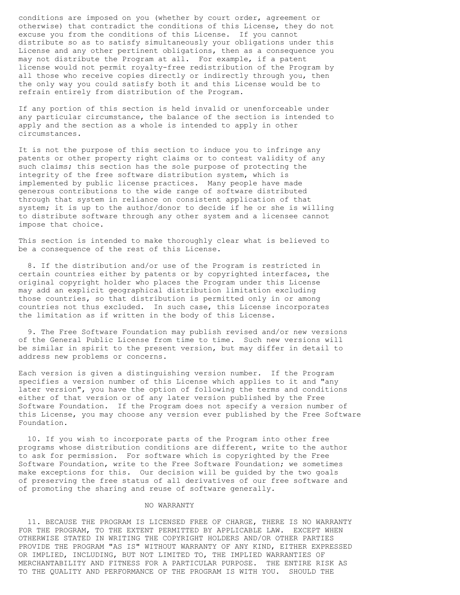conditions are imposed on you (whether by court order, agreement or otherwise) that contradict the conditions of this License, they do not excuse you from the conditions of this License. If you cannot distribute so as to satisfy simultaneously your obligations under this License and any other pertinent obligations, then as a consequence you may not distribute the Program at all. For example, if a patent license would not permit royalty-free redistribution of the Program by all those who receive copies directly or indirectly through you, then the only way you could satisfy both it and this License would be to refrain entirely from distribution of the Program.

If any portion of this section is held invalid or unenforceable under any particular circumstance, the balance of the section is intended to apply and the section as a whole is intended to apply in other circumstances.

It is not the purpose of this section to induce you to infringe any patents or other property right claims or to contest validity of any such claims; this section has the sole purpose of protecting the integrity of the free software distribution system, which is implemented by public license practices. Many people have made generous contributions to the wide range of software distributed through that system in reliance on consistent application of that system; it is up to the author/donor to decide if he or she is willing to distribute software through any other system and a licensee cannot impose that choice.

This section is intended to make thoroughly clear what is believed to be a consequence of the rest of this License.

 8. If the distribution and/or use of the Program is restricted in certain countries either by patents or by copyrighted interfaces, the original copyright holder who places the Program under this License may add an explicit geographical distribution limitation excluding those countries, so that distribution is permitted only in or among countries not thus excluded. In such case, this License incorporates the limitation as if written in the body of this License.

 9. The Free Software Foundation may publish revised and/or new versions of the General Public License from time to time. Such new versions will be similar in spirit to the present version, but may differ in detail to address new problems or concerns.

Each version is given a distinguishing version number. If the Program specifies a version number of this License which applies to it and "any later version", you have the option of following the terms and conditions either of that version or of any later version published by the Free Software Foundation. If the Program does not specify a version number of this License, you may choose any version ever published by the Free Software Foundation.

 10. If you wish to incorporate parts of the Program into other free programs whose distribution conditions are different, write to the author to ask for permission. For software which is copyrighted by the Free Software Foundation, write to the Free Software Foundation; we sometimes make exceptions for this. Our decision will be guided by the two goals of preserving the free status of all derivatives of our free software and of promoting the sharing and reuse of software generally.

## NO WARRANTY

 11. BECAUSE THE PROGRAM IS LICENSED FREE OF CHARGE, THERE IS NO WARRANTY FOR THE PROGRAM, TO THE EXTENT PERMITTED BY APPLICABLE LAW. EXCEPT WHEN OTHERWISE STATED IN WRITING THE COPYRIGHT HOLDERS AND/OR OTHER PARTIES PROVIDE THE PROGRAM "AS IS" WITHOUT WARRANTY OF ANY KIND, EITHER EXPRESSED OR IMPLIED, INCLUDING, BUT NOT LIMITED TO, THE IMPLIED WARRANTIES OF MERCHANTABILITY AND FITNESS FOR A PARTICULAR PURPOSE. THE ENTIRE RISK AS TO THE QUALITY AND PERFORMANCE OF THE PROGRAM IS WITH YOU. SHOULD THE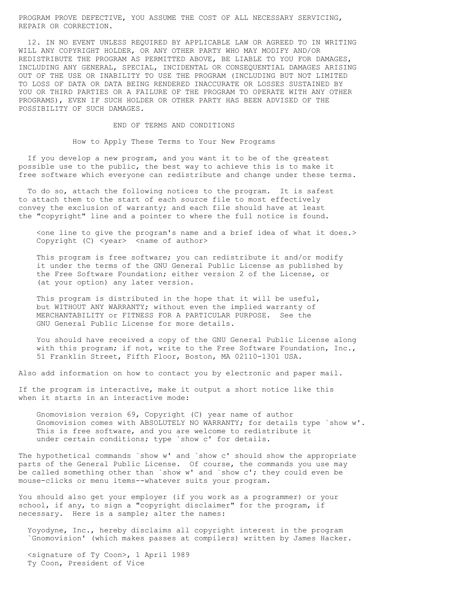PROGRAM PROVE DEFECTIVE, YOU ASSUME THE COST OF ALL NECESSARY SERVICING, REPAIR OR CORRECTION.

 12. IN NO EVENT UNLESS REQUIRED BY APPLICABLE LAW OR AGREED TO IN WRITING WILL ANY COPYRIGHT HOLDER, OR ANY OTHER PARTY WHO MAY MODIFY AND/OR REDISTRIBUTE THE PROGRAM AS PERMITTED ABOVE, BE LIABLE TO YOU FOR DAMAGES, INCLUDING ANY GENERAL, SPECIAL, INCIDENTAL OR CONSEQUENTIAL DAMAGES ARISING OUT OF THE USE OR INABILITY TO USE THE PROGRAM (INCLUDING BUT NOT LIMITED TO LOSS OF DATA OR DATA BEING RENDERED INACCURATE OR LOSSES SUSTAINED BY YOU OR THIRD PARTIES OR A FAILURE OF THE PROGRAM TO OPERATE WITH ANY OTHER PROGRAMS), EVEN IF SUCH HOLDER OR OTHER PARTY HAS BEEN ADVISED OF THE POSSIBILITY OF SUCH DAMAGES.

END OF TERMS AND CONDITIONS

How to Apply These Terms to Your New Programs

 If you develop a new program, and you want it to be of the greatest possible use to the public, the best way to achieve this is to make it free software which everyone can redistribute and change under these terms.

 To do so, attach the following notices to the program. It is safest to attach them to the start of each source file to most effectively convey the exclusion of warranty; and each file should have at least the "copyright" line and a pointer to where the full notice is found.

<one line to give the program's name and a brief idea of what it does.> Copyright (C) <year> <name of author>

 This program is free software; you can redistribute it and/or modify it under the terms of the GNU General Public License as published by the Free Software Foundation; either version 2 of the License, or (at your option) any later version.

 This program is distributed in the hope that it will be useful, but WITHOUT ANY WARRANTY; without even the implied warranty of MERCHANTABILITY or FITNESS FOR A PARTICULAR PURPOSE. See the GNU General Public License for more details.

 You should have received a copy of the GNU General Public License along with this program; if not, write to the Free Software Foundation, Inc., 51 Franklin Street, Fifth Floor, Boston, MA 02110-1301 USA.

Also add information on how to contact you by electronic and paper mail.

If the program is interactive, make it output a short notice like this when it starts in an interactive mode:

 Gnomovision version 69, Copyright (C) year name of author Gnomovision comes with ABSOLUTELY NO WARRANTY; for details type `show w'. This is free software, and you are welcome to redistribute it under certain conditions; type `show c' for details.

The hypothetical commands `show w' and `show c' should show the appropriate parts of the General Public License. Of course, the commands you use may be called something other than `show w' and `show c'; they could even be mouse-clicks or menu items--whatever suits your program.

You should also get your employer (if you work as a programmer) or your school, if any, to sign a "copyright disclaimer" for the program, if necessary. Here is a sample; alter the names:

 Yoyodyne, Inc., hereby disclaims all copyright interest in the program `Gnomovision' (which makes passes at compilers) written by James Hacker.

 <signature of Ty Coon>, 1 April 1989 Ty Coon, President of Vice